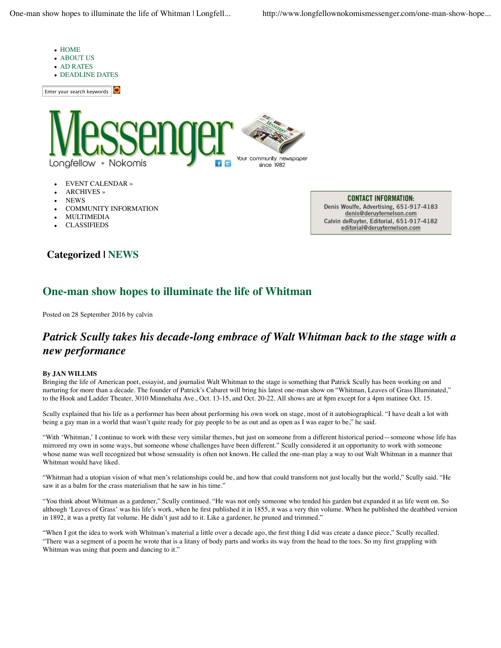

- EVENT CALENDAR »
- ARCHIVES »
- NEWS
- COMMUNITY INFORMATION
- MULTIMEDIA
- CLASSIFIEDS

**CONTACT INFORMATION:** Denis Woulfe, Advertising, 651-917-4183 denis@deruyternelson.com Calvin deRuyter, Editorial, 651-917-4182 editorial@deruyternelson.com

## **Categorized | NEWS**

## **One-man show hopes to illuminate the life of Whitman**

Posted on 28 September 2016 by calvin

## *Patrick Scully takes his decade-long embrace of Walt Whitman back to the stage with a new performance*

## **By JAN WILLMS**

Bringing the life of American poet, essayist, and journalist Walt Whitman to the stage is something that Patrick Scully has been working on and nurturing for more than a decade. The founder of Patrick's Cabaret will bring his latest one-man show on "Whitman, Leaves of Grass Illuminated," to the Hook and Ladder Theater, 3010 Minnehaha Ave., Oct. 13-15, and Oct. 20-22. All shows are at 8pm except for a 4pm matinee Oct. 15.

Scully explained that his life as a performer has been about performing his own work on stage, most of it autobiographical. "I have dealt a lot with being a gay man in a world that wasn't quite ready for gay people to be as out and as open as I was eager to be," he said.

"With 'Whitman,' I continue to work with these very similar themes, but just on someone from a different historical period—someone whose life has mirrored my own in some ways, but someone whose challenges have been different." Scully considered it an opportunity to work with someone whose name was well recognized but whose sensuality is often not known. He called the one-man play a way to out Walt Whitman in a manner that Whitman would have liked.

"Whitman had a utopian vision of what men's relationships could be, and how that could transform not just locally but the world," Scully said. "He saw it as a balm for the crass materialism that he saw in his time."

"You think about Whitman as a gardener," Scully continued. "He was not only someone who tended his garden but expanded it as life went on. So although 'Leaves of Grass' was his life's work, when he first published it in 1855, it was a very thin volume. When he published the deathbed version in 1892, it was a pretty fat volume. He didn't just add to it. Like a gardener, he pruned and trimmed."

"When I got the idea to work with Whitman's material a little over a decade ago, the first thing I did was create a dance piece," Scully recalled. "There was a segment of a poem he wrote that is a litany of body parts and works its way from the head to the toes. So my first grappling with Whitman was using that poem and dancing to it."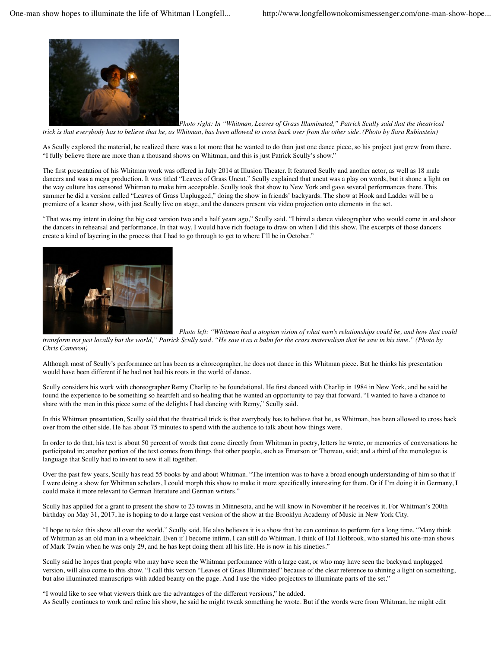

*Photo right: In "Whitman, Leaves of Grass Illuminated," Patrick Scully said that the theatrical trick is that everybody has to believe that he, as Whitman, has been allowed to cross back over from the other side. (Photo by Sara Rubinstein)*

As Scully explored the material, he realized there was a lot more that he wanted to do than just one dance piece, so his project just grew from there. "I fully believe there are more than a thousand shows on Whitman, and this is just Patrick Scully's show."

The first presentation of his Whitman work was offered in July 2014 at Illusion Theater. It featured Scully and another actor, as well as 18 male dancers and was a mega production. It was titled "Leaves of Grass Uncut." Scully explained that uncut was a play on words, but it shone a light on the way culture has censored Whitman to make him acceptable. Scully took that show to New York and gave several performances there. This summer he did a version called "Leaves of Grass Unplugged," doing the show in friends' backyards. The show at Hook and Ladder will be a premiere of a leaner show, with just Scully live on stage, and the dancers present via video projection onto elements in the set.

"That was my intent in doing the big cast version two and a half years ago," Scully said. "I hired a dance videographer who would come in and shoot the dancers in rehearsal and performance. In that way, I would have rich footage to draw on when I did this show. The excerpts of those dancers create a kind of layering in the process that I had to go through to get to where I'll be in October."



*Photo left: "Whitman had a utopian vision of what men's relationships could be, and how that could*

*transform not just locally but the world," Patrick Scully said. "He saw it as a balm for the crass materialism that he saw in his time." (Photo by Chris Cameron)*

Although most of Scully's performance art has been as a choreographer, he does not dance in this Whitman piece. But he thinks his presentation would have been different if he had not had his roots in the world of dance.

Scully considers his work with choreographer Remy Charlip to be foundational. He first danced with Charlip in 1984 in New York, and he said he found the experience to be something so heartfelt and so healing that he wanted an opportunity to pay that forward. "I wanted to have a chance to share with the men in this piece some of the delights I had dancing with Remy," Scully said.

In this Whitman presentation, Scully said that the theatrical trick is that everybody has to believe that he, as Whitman, has been allowed to cross back over from the other side. He has about 75 minutes to spend with the audience to talk about how things were.

In order to do that, his text is about 50 percent of words that come directly from Whitman in poetry, letters he wrote, or memories of conversations he participated in; another portion of the text comes from things that other people, such as Emerson or Thoreau, said; and a third of the monologue is language that Scully had to invent to sew it all together.

Over the past few years, Scully has read 55 books by and about Whitman. "The intention was to have a broad enough understanding of him so that if I were doing a show for Whitman scholars, I could morph this show to make it more specifically interesting for them. Or if I'm doing it in Germany, I could make it more relevant to German literature and German writers."

Scully has applied for a grant to present the show to 23 towns in Minnesota, and he will know in November if he receives it. For Whitman's 200th birthday on May 31, 2017, he is hoping to do a large cast version of the show at the Brooklyn Academy of Music in New York City.

"I hope to take this show all over the world," Scully said. He also believes it is a show that he can continue to perform for a long time. "Many think of Whitman as an old man in a wheelchair. Even if I become infirm, I can still do Whitman. I think of Hal Holbrook, who started his one-man shows of Mark Twain when he was only 29, and he has kept doing them all his life. He is now in his nineties."

Scully said he hopes that people who may have seen the Whitman performance with a large cast, or who may have seen the backyard unplugged version, will also come to this show. "I call this version "Leaves of Grass Illuminated" because of the clear reference to shining a light on something, but also illuminated manuscripts with added beauty on the page. And I use the video projectors to illuminate parts of the set."

"I would like to see what viewers think are the advantages of the different versions," he added. As Scully continues to work and refine his show, he said he might tweak something he wrote. But if the words were from Whitman, he might edit